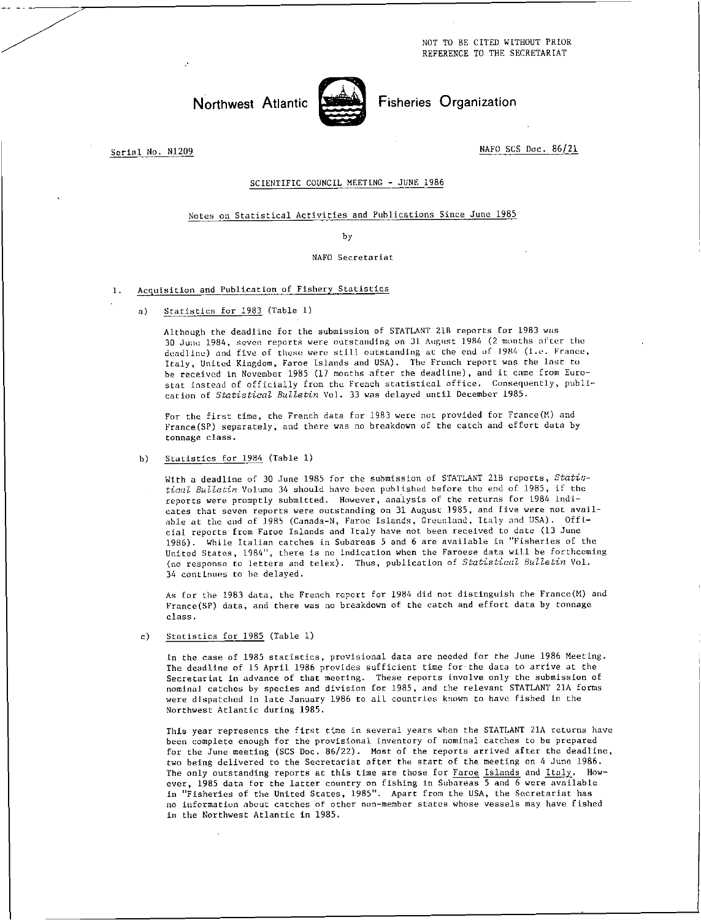NOT TO BE CITED WITHOUT PRIOR REFERENCE TO THE SECRETARIAT



Northwest Atlantic Street Fisheries Organization

Serial No. N1209 NAFO SCS Doc. 86/21

# SCIENTIFIC COUNCIL MEETING - JUNE 1986

## Notes on Statistical Activities and Publications Since June 1985

by

## NAFO Secretariat

## 1. Acquisition and Publication of Fishery Statistics

a) Statistics for 1983 (Table 1)

Although the deadline for the submission of STATLANT 218 reports for 1983 was 30 June 1984, seven reports were outstanding on 31 August 1984 (2 months after the deadline) and five of these were still outstanding at the end of 1984 (i.e. France, Italy, United Kingdom, Faroe Islands and USA). The French report was the last to be received in November 1985 (17 months after the deadline), and it came from Eurostat instead of officially from the French statistical office. Consequently, publication of *Statistical Bulletin* Vol. 33 was delayed until December 1985.

For the first time, the French data for 1983 were not provided for France(M) and France(SP) separately, and there was no breakdown of the catch and effort data by tonnage class.

b) Statistics for 1984 (Table 1)

With a deadline of 30 June 1985 for the submission of STATLANT 21B reports, *Statistical Bulletin* Volume 34 should have been published before the end of 1985, if the reports were promptly submitted. However, analysis of the returns for 1984 indicates that seven reports were outstanding on 31 August 1985, and five were not available at the end of 1985 (Canada-N, Faroe Islands, Greenland, Italy and USA). Official reports from Faroe Islands and Italy have not been received to date (13 June 1986). While Italian catches in Subareas 5 and 6 are available in "Fisheries of the United States, 1984", there is no indication when the Faroese data will be forthcoming (no response to letters and telex). Thus, publication of *Statistical Bulletin* Vol. 34 continues to he delayed.

As for the 1983 data, the French report for 1984 did not distinguish the France(M) and France(SP) data, and there was no breakdown of the catch and effort data by tonnage class.

c) Statistics for 1985 (Table 1)

In the case of 1985 statistics, provisional data are needed for the June 1986 Meeting. The deadline of 15 April 1986 provides sufficient time for the data to arrive at the Secretariat in advance of that meeting. These reports involve only the submission of nominal catches by species and division for 1985, and the relevant STATLANT 21A forms were dispatched in late January 1986 to all countries known to have fished in the Northwest Atlantic during 1985.

This year represents the first time in several years when the STATLANT 21A returns have been complete enough for the provisional inventory of nominal catches to be prepared for the June meeting (SCS Doc. 86/22). Most of the reports arrived after the deadline, two being delivered to the Secretariat after the start of the meeting on 4 June 1986. The only outstanding reports at this time are those for Faroe Islands and Italy. However, 1985 data for the latter country on fishing in Subareas 5 and 6 were available in "Fisheries of the United States, 1985". Apart from the USA, the Secretariat has no information about catches of other non-member states whose vessels may have fished in the Northwest Atlantic in 1985.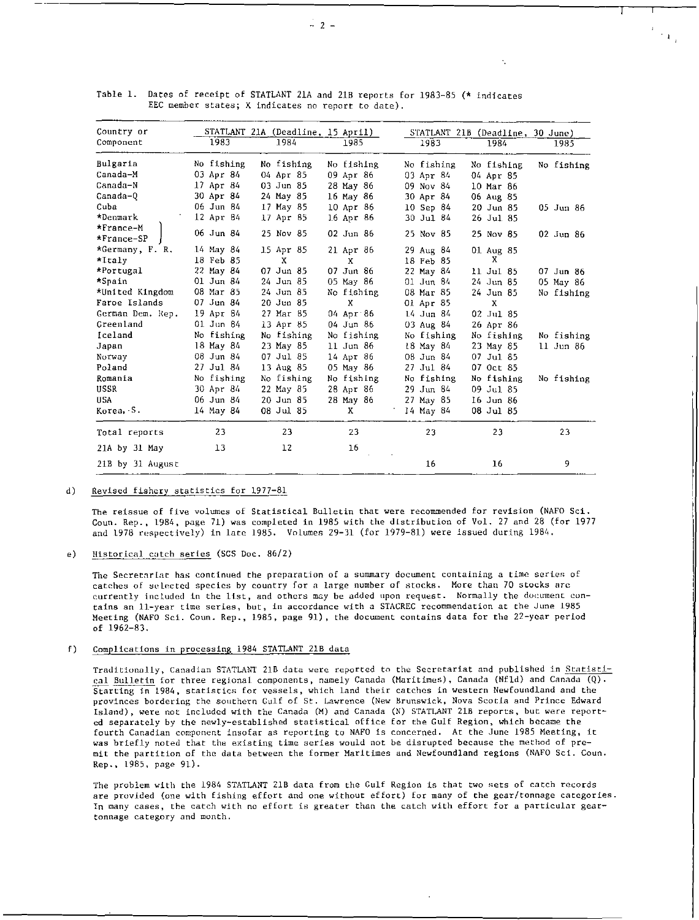| Country or       | STATLANT 21A (Deadline, 15 April) |               |               |            | STATLANT 21B (Deadline, 30 June) |            |
|------------------|-----------------------------------|---------------|---------------|------------|----------------------------------|------------|
| Component        | 1983                              | 1984          | 1985          | 1983       | 1984                             | 1985       |
| Bulgaria         | No fishing                        | No fishing    | No fishing    | No fishing | No fishing                       | No fishing |
| Canada-M         | 03 Apr 84                         | 04 Apr 85     | 09 Apr 86     | 03 Apr 84  | 04 Apr 85                        |            |
| Canada-N         | 17 Apr 84                         | $03$ Jun $85$ | 28 May 86     | 09 Nov 84  | 10 Mar 86                        |            |
| Canada-0         | 30 Apr 84                         | 24 May 85     | 16 May 86     | 30 Apr 84  | 06 Aug 85                        |            |
| Cuba             | 06 Jun 84                         | 17 May 85     | $10$ Apr $86$ | 10 Sep 84  | 20 Jun 85                        | 05 Jun 86  |
| *Denmark         | 12 Apr 84                         | 17 Apr 85     | 16 Apr 86     | 30 Jul 84  | 26 Jul 85                        |            |
| $*$ France-M     | 06 Jun 84                         | 25 Nov 85     | $02$ Jun $86$ |            |                                  |            |
| *France-SP       |                                   |               |               | 25 Nov 85  | 25 Nov 85                        | 02 Jun 86  |
| *Germany, F. R.  | 14 May 84                         | 15 Apr 85     | 21 Apr 86     | 29 Aug 84  | 01 Aug 85                        |            |
| *Italy           | 18 Feb 85                         | х             | X             | 18 Feb 85  | X                                |            |
| *Portugal        | 22 May 84                         | 07 Jun 85     | 07 Jun 86     | 22 May 84  | 11 Jul 85                        | 07 Jun 86  |
| *Spain           | $01$ Jun $84$                     | 24 Jun 85     | 05 May 86     | 01 Jun 84  | 24 Jun 85                        | 05 May 86  |
| *United Kingdom  | 08 Mar 85                         | 24 Jun 85     | No fishing    | 08 Mar 85  | 24 Jun 85                        | No fishing |
| Faroe Islands    | $07$ Jun $84$                     | 20 Jun 85     | X             | 01 Apr 85  | X                                |            |
| German Dem. Rep. | 19 Apr 84                         | 27 Mar 85     | 04 Apr 86     | 14 Jun 84  | 02 Jul 85                        |            |
| Greenland        | 01 Jun 84                         | 13 Apr 85     | 04 Jun 86     | 03 Aug 84  | 26 Apr 86                        |            |
| Iceland          | No fishing                        | No fishing    | No fishing    | No fishing | No fishing                       | No fishing |
| Japan            | 18 May 84                         | 23 May 85     | $11$ Jun 86   | 18 May 84  | 23 May 85                        | 11 Jun 86  |
| Norway           | 08 Jun 84                         | 07 Jul 85     | 14 Apr 86     | 08 Jun 84  | 07 Jul 85                        |            |
| Poland           | 27 Jul 84                         | 13 Aug 85     | 05 May 86     | 27 Jul 84  | 07 Oct 85                        |            |
| Romania          | No fishing                        | No fishing    | No fishing    | No fishing | No fishing                       | No fishing |
| USSR             | 30 Apr 84                         | 22 May 85     | 28 Apr 86     | 29 Jun 84  | 09 Jul 85                        |            |
| <b>USA</b>       | 06 Jun 84                         | 20 Jun 85     | 28 May 86     | 27 May 85  | 16 Jun 86                        |            |
| Korea, S.        | 14 May 84                         | 08 Jul 85     | X             | 14 May 84  | 08 Jul 85                        |            |
| Total reports    | 23                                | 23            | 23            | 23         | 23                               | 23         |
| 21A by 31 May    | 13                                | 12            | 16            |            |                                  |            |
| 21B by 31 August |                                   |               |               | 16         | 16                               | 9          |

Table 1. Dates of receipt of STATLANT 21A and 21B reports for 1983-85 (\* indicates EEC member states; X indicates no report to date).

#### d) Revised fishery statistics for 1977-81

The reissue of five volumes of Statistical Bulletin that were recommended for revision (NAFO Sci. Coun. Rep., 1984, page 71) was completed in 1985 with the distribution of Vol. 27 and 28 (for 1977 and 1978 respectively) in late 1985. Volumes 29-31 (for 1979-81) were issued during 1984.

### e) Historical catch series (SCS Doc. 86/2)

The Secretariat has continued the preparation of a summary document containing a time series of catches of selected species by country for a large number of stocks. More than 70 stocks are currently included in the list, and others may be added upon request. Normally the document contains an 11-year time series, but, in accordance with a STACREC recommendation at the June 1985 Meeting (NAFO Sci. Coun. Rep., 1985, page 91), the document contains data for the 22-year period of 1962-83.

# f) Complications in processing 1984 STATLANT 21B data

Traditionally, Canadian STATLANT 21B data were reported to the Secretariat and published in Statistical Bulletin for three regional components, namely Canada (Maritimes), Canada (Nfld) and Canada (Q). Starting in 1984, statistics for vessels, which land their catches in western Newfoundland and the provinces bordering the southern Gulf of St. Lawrence (New Brunswick, Nova Scotia and Prince Edward Island), were not included with the Canada (M) and Canada (N) STATLANT 218 reports, but were reported separately by the newly-established statistical office for the Gulf Region, which became the fourth Canadian component insofar as reporting to NAFO is concerned. At the June 1985 Meeting, it was briefly noted that the existing time series would not be disrupted because the method of premit the partition of the data between the former Maritimes and Newfoundland regions (NAFO Sci. Coun. Rep., 1985, page 91 ).

The problem with the 1984 STATLANT 21B data from the Gulf Region is that two sets of catch records are provided (one with fishing effort and one without effort) for many of the gear/tonnage categories. In many cases, the catch with no effort is greater than the catch with effort for a particular geartonnage category and month.

 $\mathcal{O}_{\mathcal{A}}$ 

÷.